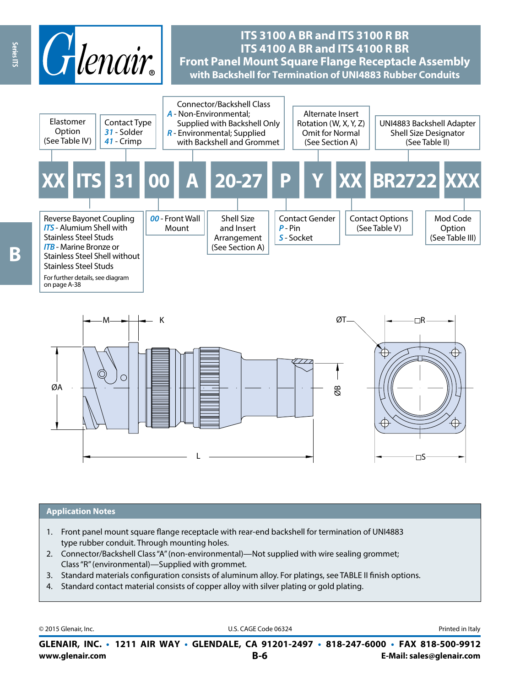

# **ITS 3100 A BR and ITS 3100 R BR ITS 4100 A BR and ITS 4100 R BR Front Panel Mount Square Flange Receptacle Assembly with Backshell for Termination of UNI4883 Rubber Conduits**



## **Application Notes**

- 1. Front panel mount square flange receptacle with rear-end backshell for termination of UNI4883 type rubber conduit. Through mounting holes.
- 2. Connector/Backshell Class "A" (non-environmental)—Not supplied with wire sealing grommet; Class "R" (environmental)—Supplied with grommet.
- 3. Standard materials configuration consists of aluminum alloy. For platings, see TABLE II finish options.
- 4. Standard contact material consists of copper alloy with silver plating or gold plating.

© 2015 Glenair, Inc. **Discription Construction Construction Construction Construction Construction Construction Construction Construction Construction Construction Construction Construction Construction Construction Constr** 

**www.glenair.com B-6 E-Mail: sales@glenair.com GLENAIR, INC. • 1211 AIR WAY • GLENDALE, CA 91201-2497 • 818-247-6000 • FAX 818-500-9912**